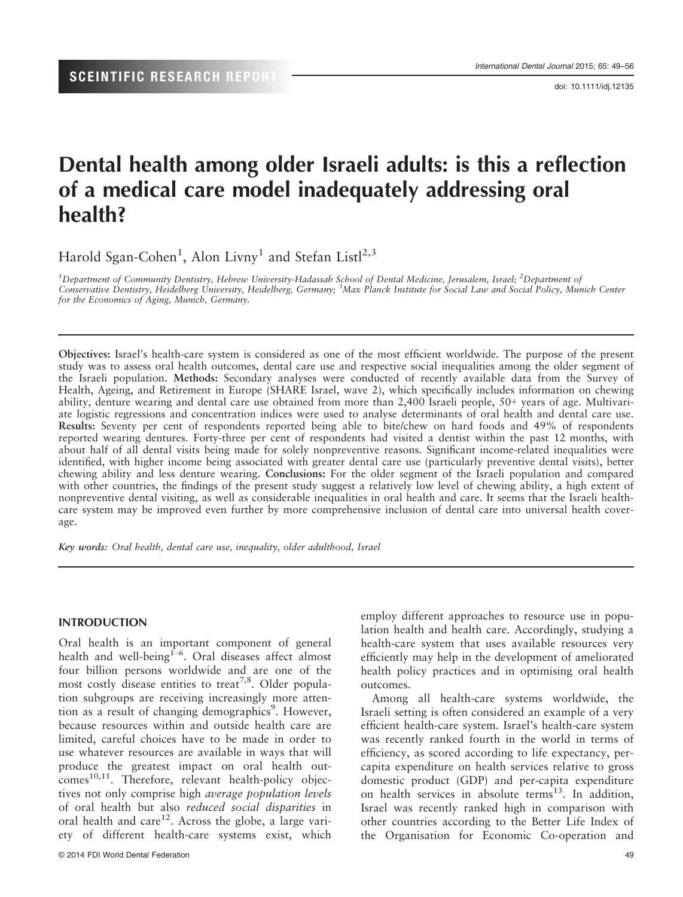doi: 10.1111/idj.12135

# Dental health among older Israeli adults: is this a reflection of a medical care model inadequately addressing oral health?

Harold Sgan-Cohen<sup>1</sup>, Alon Livny<sup>1</sup> and Stefan Listl<sup>2,3</sup>

<sup>1</sup>Department of Community Dentistry, Hebrew University-Hadassah School of Dental Medicine, Jerusalem, Israel; <sup>2</sup>Department of Conservative Dentistry, Heidelberg University, Heidelberg, Germany; <sup>3</sup>Max Planck Institute for Social Law and Social Policy, Munich Center for the Economics of Aging, Munich, Germany.

Objectives: Israel's health-care system is considered as one of the most efficient worldwide. The purpose of the present study was to assess oral health outcomes, dental care use and respective social inequalities among the older segment of the Israeli population. Methods: Secondary analyses were conducted of recently available data from the Survey of Health, Ageing, and Retirement in Europe (SHARE Israel, wave 2), which specifically includes information on chewing ability, denture wearing and dental care use obtained from more than 2,400 Israeli people, 50+ years of age. Multivariate logistic regressions and concentration indices were used to analyse determinants of oral health and dental care use. Results: Seventy per cent of respondents reported being able to bite/chew on hard foods and 49% of respondents reported wearing dentures. Forty-three per cent of respondents had visited a dentist within the past 12 months, with about half of all dental visits being made for solely nonpreventive reasons. Significant income-related inequalities were identified, with higher income being associated with greater dental care use (particularly preventive dental visits), better chewing ability and less denture wearing. Conclusions: For the older segment of the Israeli population and compared with other countries, the findings of the present study suggest a relatively low level of chewing ability, a high extent of nonpreventive dental visiting, as well as considerable inequalities in oral health and care. It seems that the Israeli healthcare system may be improved even further by more comprehensive inclusion of dental care into universal health coverage.

Key words: Oral health, dental care use, inequality, older adulthood, Israel

#### INTRODUCTION

Oral health is an important component of general health and well-being<sup>1-6</sup>. Oral diseases affect almost four billion persons worldwide and are one of the most costly disease entities to treat<sup>7,8</sup>. Older population subgroups are receiving increasingly more attention as a result of changing demographics<sup>9</sup>. However, because resources within and outside health care are limited, careful choices have to be made in order to use whatever resources are available in ways that will produce the greatest impact on oral health out- $\text{comes}^{10,11}$ . Therefore, relevant health-policy objectives not only comprise high average population levels of oral health but also reduced social disparities in oral health and care<sup>12</sup>. Across the globe, a large variety of different health-care systems exist, which employ different approaches to resource use in population health and health care. Accordingly, studying a health-care system that uses available resources very efficiently may help in the development of ameliorated health policy practices and in optimising oral health outcomes.

Among all health-care systems worldwide, the Israeli setting is often considered an example of a very efficient health-care system. Israel's health-care system was recently ranked fourth in the world in terms of efficiency, as scored according to life expectancy, percapita expenditure on health services relative to gross domestic product (GDP) and per-capita expenditure on health services in absolute terms<sup>13</sup>. In addition, Israel was recently ranked high in comparison with other countries according to the Better Life Index of the Organisation for Economic Co-operation and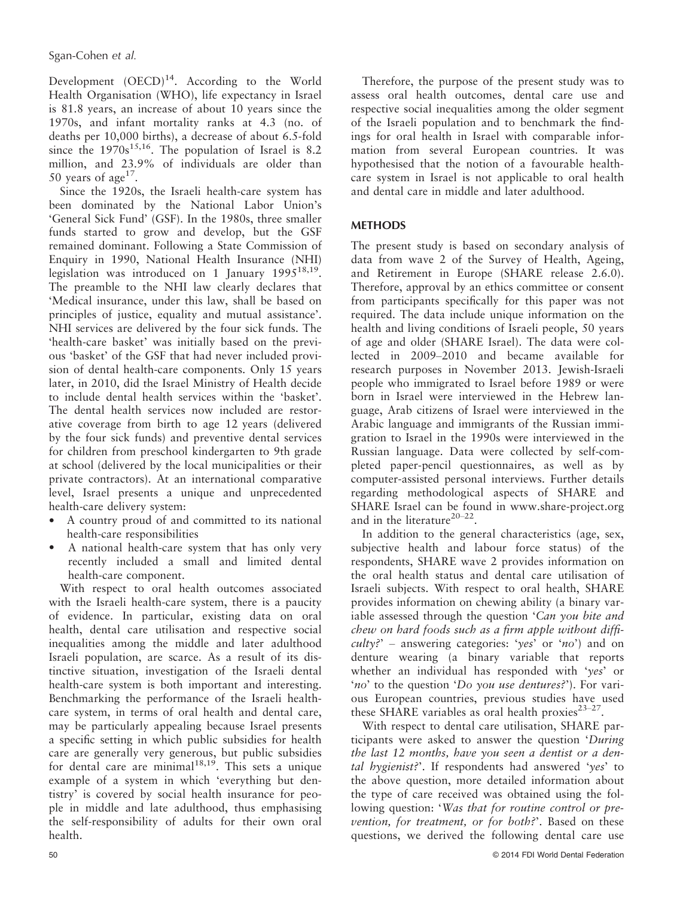Development  $(OECD)<sup>14</sup>$ . According to the World Health Organisation (WHO), life expectancy in Israel is 81.8 years, an increase of about 10 years since the 1970s, and infant mortality ranks at 4.3 (no. of deaths per 10,000 births), a decrease of about 6.5-fold since the  $1970s^{15,16}$ . The population of Israel is 8.2 million, and 23.9% of individuals are older than 50 years of age<sup>17</sup>.

Since the 1920s, the Israeli health-care system has been dominated by the National Labor Union's 'General Sick Fund' (GSF). In the 1980s, three smaller funds started to grow and develop, but the GSF remained dominant. Following a State Commission of Enquiry in 1990, National Health Insurance (NHI) legislation was introduced on 1 January  $1995^{18,19}$ . The preamble to the NHI law clearly declares that 'Medical insurance, under this law, shall be based on principles of justice, equality and mutual assistance'. NHI services are delivered by the four sick funds. The 'health-care basket' was initially based on the previous 'basket' of the GSF that had never included provision of dental health-care components. Only 15 years later, in 2010, did the Israel Ministry of Health decide to include dental health services within the 'basket'. The dental health services now included are restorative coverage from birth to age 12 years (delivered by the four sick funds) and preventive dental services for children from preschool kindergarten to 9th grade at school (delivered by the local municipalities or their private contractors). At an international comparative level, Israel presents a unique and unprecedented health-care delivery system:

- A country proud of and committed to its national health-care responsibilities
- A national health-care system that has only very recently included a small and limited dental health-care component.

With respect to oral health outcomes associated with the Israeli health-care system, there is a paucity of evidence. In particular, existing data on oral health, dental care utilisation and respective social inequalities among the middle and later adulthood Israeli population, are scarce. As a result of its distinctive situation, investigation of the Israeli dental health-care system is both important and interesting. Benchmarking the performance of the Israeli healthcare system, in terms of oral health and dental care, may be particularly appealing because Israel presents a specific setting in which public subsidies for health care are generally very generous, but public subsidies for dental care are minimal $18,19$ . This sets a unique example of a system in which 'everything but dentistry' is covered by social health insurance for people in middle and late adulthood, thus emphasising the self-responsibility of adults for their own oral health.

Therefore, the purpose of the present study was to assess oral health outcomes, dental care use and respective social inequalities among the older segment of the Israeli population and to benchmark the findings for oral health in Israel with comparable information from several European countries. It was hypothesised that the notion of a favourable healthcare system in Israel is not applicable to oral health and dental care in middle and later adulthood.

## **METHODS**

The present study is based on secondary analysis of data from wave 2 of the Survey of Health, Ageing, and Retirement in Europe (SHARE release 2.6.0). Therefore, approval by an ethics committee or consent from participants specifically for this paper was not required. The data include unique information on the health and living conditions of Israeli people, 50 years of age and older (SHARE Israel). The data were collected in 2009–2010 and became available for research purposes in November 2013. Jewish-Israeli people who immigrated to Israel before 1989 or were born in Israel were interviewed in the Hebrew language, Arab citizens of Israel were interviewed in the Arabic language and immigrants of the Russian immigration to Israel in the 1990s were interviewed in the Russian language. Data were collected by self-completed paper-pencil questionnaires, as well as by computer-assisted personal interviews. Further details regarding methodological aspects of SHARE and SHARE Israel can be found in www.share-project.org and in the literature<sup>20-22</sup>.

In addition to the general characteristics (age, sex, subjective health and labour force status) of the respondents, SHARE wave 2 provides information on the oral health status and dental care utilisation of Israeli subjects. With respect to oral health, SHARE provides information on chewing ability (a binary variable assessed through the question 'Can you bite and chew on hard foods such as a firm apple without diffi- $\textit{culty?'}$  – answering categories: 'yes' or 'no') and on denture wearing (a binary variable that reports whether an individual has responded with 'yes' or 'no' to the question 'Do you use dentures?'). For various European countries, previous studies have used these SHARE variables as oral health proxies<sup>23-27</sup>.

With respect to dental care utilisation, SHARE participants were asked to answer the question 'During the last 12 months, have you seen a dentist or a dental hygienist?'. If respondents had answered 'yes' to the above question, more detailed information about the type of care received was obtained using the following question: 'Was that for routine control or prevention, for treatment, or for both?'. Based on these questions, we derived the following dental care use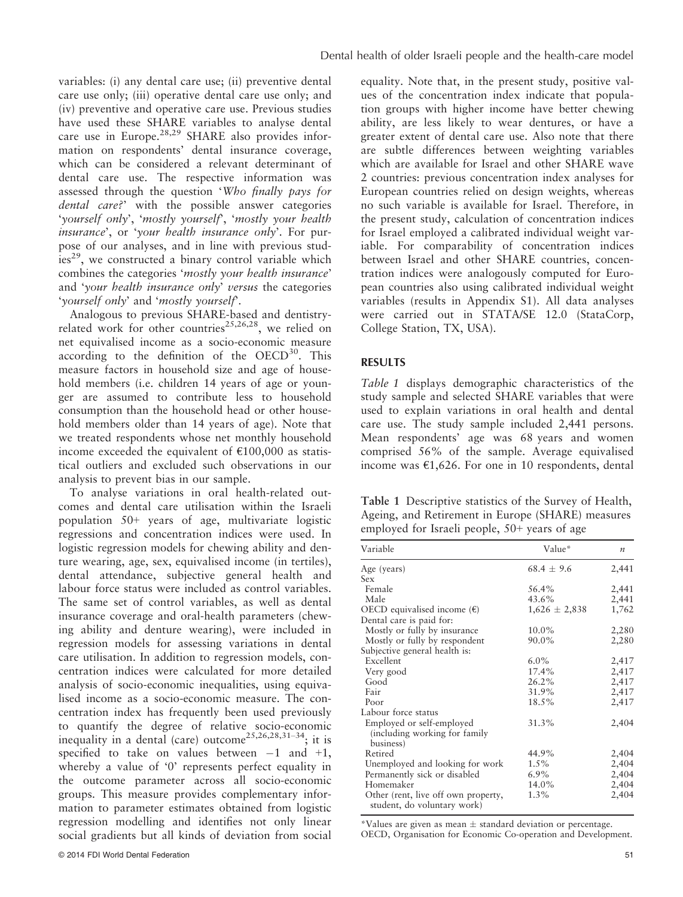variables: (i) any dental care use; (ii) preventive dental care use only; (iii) operative dental care use only; and (iv) preventive and operative care use. Previous studies have used these SHARE variables to analyse dental care use in Europe.<sup>28,29</sup> SHARE also provides information on respondents' dental insurance coverage, which can be considered a relevant determinant of dental care use. The respective information was assessed through the question 'Who finally pays for dental care?' with the possible answer categories 'yourself only', 'mostly yourself', 'mostly your health insurance', or 'your health insurance only'. For purpose of our analyses, and in line with previous stud $ies<sup>29</sup>$ , we constructed a binary control variable which combines the categories 'mostly your health insurance' and 'your health insurance only' versus the categories 'yourself only' and 'mostly yourself'.

Analogous to previous SHARE-based and dentistryrelated work for other countries<sup>25,26,28</sup>, we relied on net equivalised income as a socio-economic measure according to the definition of the  $OECD<sup>30</sup>$ . This measure factors in household size and age of household members (i.e. children 14 years of age or younger are assumed to contribute less to household consumption than the household head or other household members older than 14 years of age). Note that we treated respondents whose net monthly household income exceeded the equivalent of  $£100,000$  as statistical outliers and excluded such observations in our analysis to prevent bias in our sample.

To analyse variations in oral health-related outcomes and dental care utilisation within the Israeli population 50+ years of age, multivariate logistic regressions and concentration indices were used. In logistic regression models for chewing ability and denture wearing, age, sex, equivalised income (in tertiles), dental attendance, subjective general health and labour force status were included as control variables. The same set of control variables, as well as dental insurance coverage and oral-health parameters (chewing ability and denture wearing), were included in regression models for assessing variations in dental care utilisation. In addition to regression models, concentration indices were calculated for more detailed analysis of socio-economic inequalities, using equivalised income as a socio-economic measure. The concentration index has frequently been used previously to quantify the degree of relative socio-economic inequality in a dental (care) outcome<sup>25,26,28,31–34</sup>; it is specified to take on values between  $-1$  and  $+1$ , whereby a value of '0' represents perfect equality in the outcome parameter across all socio-economic groups. This measure provides complementary information to parameter estimates obtained from logistic regression modelling and identifies not only linear social gradients but all kinds of deviation from social equality. Note that, in the present study, positive values of the concentration index indicate that population groups with higher income have better chewing ability, are less likely to wear dentures, or have a greater extent of dental care use. Also note that there are subtle differences between weighting variables which are available for Israel and other SHARE wave 2 countries: previous concentration index analyses for European countries relied on design weights, whereas no such variable is available for Israel. Therefore, in the present study, calculation of concentration indices for Israel employed a calibrated individual weight variable. For comparability of concentration indices between Israel and other SHARE countries, concentration indices were analogously computed for European countries also using calibrated individual weight variables (results in Appendix S1). All data analyses were carried out in STATA/SE 12.0 (StataCorp, College Station, TX, USA).

# RESULTS

Table 1 displays demographic characteristics of the study sample and selected SHARE variables that were used to explain variations in oral health and dental care use. The study sample included 2,441 persons. Mean respondents' age was 68 years and women comprised 56% of the sample. Average equivalised income was €1,626. For one in 10 respondents, dental

Table 1 Descriptive statistics of the Survey of Health, Ageing, and Retirement in Europe (SHARE) measures employed for Israeli people, 50+ years of age

| Variable                                                           | Value*            | $\boldsymbol{n}$ |
|--------------------------------------------------------------------|-------------------|------------------|
| Age (years)                                                        | $68.4 \pm 9.6$    | 2,441            |
| Sex                                                                |                   |                  |
| Female                                                             | 56.4%             | 2,441            |
| Male                                                               | 43.6%             | 2,441            |
| OECD equivalised income $(\epsilon)$                               | $1,626 \pm 2,838$ | 1,762            |
| Dental care is paid for:                                           |                   |                  |
| Mostly or fully by insurance                                       | 10.0%             | 2,280            |
| Mostly or fully by respondent                                      | 90.0%             | 2,280            |
| Subjective general health is:                                      |                   |                  |
| Excellent                                                          | $6.0\%$           | 2,417            |
| Very good                                                          | 17.4%             | 2,417            |
| Good                                                               | 26.2%             | 2,417            |
| Fair                                                               | 31.9%             | 2,417            |
| Poor                                                               | 18.5%             | 2,417            |
| Labour force status                                                |                   |                  |
| Employed or self-employed<br>(including working for family         | 31.3%             | 2,404            |
| business)                                                          |                   |                  |
| Retired                                                            | 44.9%             | 2,404            |
| Unemployed and looking for work                                    | $1.5\%$           | 2,404            |
| Permanently sick or disabled                                       | $6.9\%$           | 2,404            |
| Homemaker                                                          | 14.0%             | 2,404            |
| Other (rent, live off own property,<br>student, do voluntary work) | $1.3\%$           | 2,404            |

\*Values are given as mean  $\pm$  standard deviation or percentage. OECD, Organisation for Economic Co-operation and Development.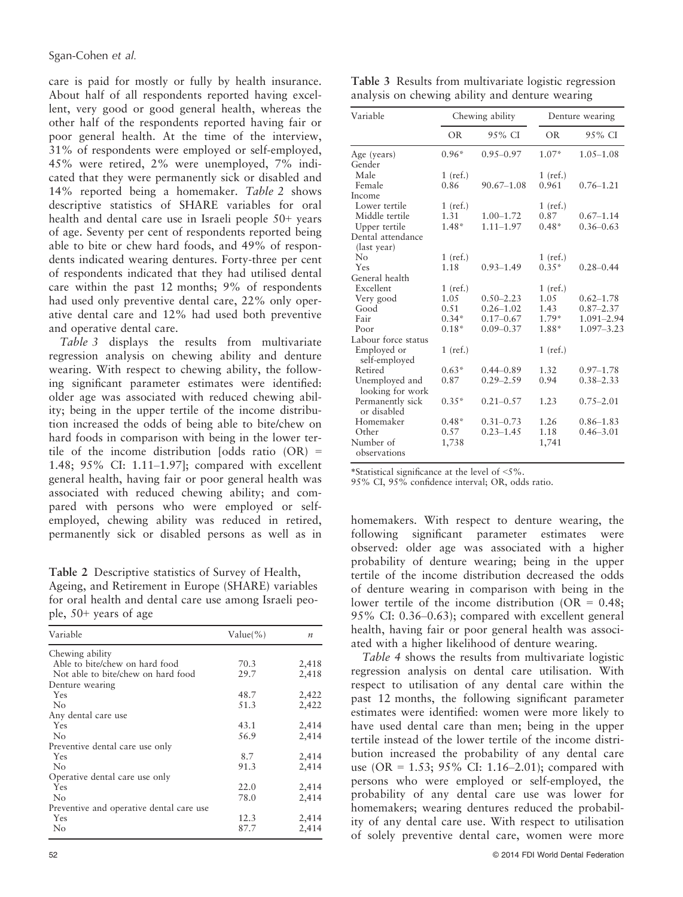care is paid for mostly or fully by health insurance. About half of all respondents reported having excellent, very good or good general health, whereas the other half of the respondents reported having fair or poor general health. At the time of the interview, 31% of respondents were employed or self-employed, 45% were retired, 2% were unemployed, 7% indicated that they were permanently sick or disabled and 14% reported being a homemaker. Table 2 shows descriptive statistics of SHARE variables for oral health and dental care use in Israeli people 50+ years of age. Seventy per cent of respondents reported being able to bite or chew hard foods, and 49% of respondents indicated wearing dentures. Forty-three per cent of respondents indicated that they had utilised dental care within the past 12 months; 9% of respondents had used only preventive dental care, 22% only operative dental care and 12% had used both preventive and operative dental care.

Table 3 displays the results from multivariate regression analysis on chewing ability and denture wearing. With respect to chewing ability, the following significant parameter estimates were identified: older age was associated with reduced chewing ability; being in the upper tertile of the income distribution increased the odds of being able to bite/chew on hard foods in comparison with being in the lower tertile of the income distribution  $[odds \text{ ratio } (OR) =$ 1.48; 95% CI: 1.11–1.97]; compared with excellent general health, having fair or poor general health was associated with reduced chewing ability; and compared with persons who were employed or selfemployed, chewing ability was reduced in retired, permanently sick or disabled persons as well as in

Table 2 Descriptive statistics of Survey of Health, Ageing, and Retirement in Europe (SHARE) variables for oral health and dental care use among Israeli people, 50+ years of age

| Variable                                 | $Value(\% )$ | $\boldsymbol{n}$ |
|------------------------------------------|--------------|------------------|
| Chewing ability                          |              |                  |
| Able to bite/chew on hard food           | 70.3         | 2,418            |
| Not able to bite/chew on hard food       | 29.7         | 2,418            |
| Denture wearing                          |              |                  |
| Yes                                      | 48.7         | 2,422            |
| N <sub>0</sub>                           | 51.3         | 2,422            |
| Any dental care use                      |              |                  |
| <b>Yes</b>                               | 43.1         | 2,414            |
| N <sub>0</sub>                           | 56.9         | 2,414            |
| Preventive dental care use only          |              |                  |
| Yes                                      | 8.7          | 2,414            |
| N <sub>0</sub>                           | 91.3         | 2,414            |
| Operative dental care use only           |              |                  |
| Yes                                      | 22.0         | 2,414            |
| No                                       | 78.0         | 2,414            |
| Preventive and operative dental care use |              |                  |
| Yes                                      | 12.3         | 2,414            |
| No                                       | 87.7         | 2,414            |

Table 3 Results from multivariate logistic regression analysis on chewing ability and denture wearing

| Variable                           | Chewing ability |                | Denture wearing |               |  |
|------------------------------------|-----------------|----------------|-----------------|---------------|--|
|                                    | <b>OR</b>       | 9.5% CI        | <b>OR</b>       | 9.5% CI       |  |
| Age (years)                        | $0.96*$         | $0.95 - 0.97$  | $1.07*$         | $1.05 - 1.08$ |  |
| Gender                             |                 |                |                 |               |  |
| Male                               | $1$ (ref.)      |                | $1$ (ref.)      |               |  |
| Female                             | 0.86            | $90.67 - 1.08$ | 0.961           | $0.76 - 1.21$ |  |
| Income                             |                 |                |                 |               |  |
| Lower tertile                      | $1$ (ref.)      |                | $1$ (ref.)      |               |  |
| Middle tertile                     | 1.31            | $1.00 - 1.72$  | 0.87            | $0.67 - 1.14$ |  |
| Upper tertile                      | $1.48*$         | $1.11 - 1.97$  | $0.48*$         | $0.36 - 0.63$ |  |
| Dental attendance                  |                 |                |                 |               |  |
| (last year)                        |                 |                |                 |               |  |
| No                                 | $1$ (ref.)      |                | $1$ (ref.)      |               |  |
| Yes                                | 1.18            | $0.93 - 1.49$  | $0.35*$         | $0.28 - 0.44$ |  |
| General health                     |                 |                |                 |               |  |
| Excellent                          | $1$ (ref.)      |                | $1$ (ref.)      |               |  |
| Very good                          | 1.05            | $0.50 - 2.23$  | 1.05            | $0.62 - 1.78$ |  |
| Good                               | 0.51            | $0.26 - 1.02$  | 1.43            | $0.87 - 2.37$ |  |
| Fair                               | $0.34*$         | $0.17 - 0.67$  | $1.79*$         | 1.091-2.94    |  |
| Poor                               | $0.18*$         | $0.09 - 0.37$  | 1.88*           | 1.097-3.23    |  |
| Labour force status                |                 |                |                 |               |  |
| Employed or<br>self-employed       | $1$ (ref.)      |                | $1$ (ref.)      |               |  |
| Retired                            | $0.63*$         | $0.44 - 0.89$  | 1.32            | $0.97 - 1.78$ |  |
| Unemployed and<br>looking for work | 0.87            | $0.29 - 2.59$  | 0.94            | $0.38 - 2.33$ |  |
| Permanently sick<br>or disabled    | $0.35*$         | $0.21 - 0.57$  | 1.23            | $0.75 - 2.01$ |  |
| Homemaker                          | $0.48*$         | $0.31 - 0.73$  | 1.26            | $0.86 - 1.83$ |  |
| Other                              | 0.57            | $0.23 - 1.45$  | 1.18            | $0.46 - 3.01$ |  |
| Number of<br>observations          | 1,738           |                | 1,741           |               |  |

\*Statistical significance at the level of <5%.

95% CI, 95% confidence interval; OR, odds ratio.

homemakers. With respect to denture wearing, the following significant parameter estimates were observed: older age was associated with a higher probability of denture wearing; being in the upper tertile of the income distribution decreased the odds of denture wearing in comparison with being in the lower tertile of the income distribution ( $OR = 0.48$ ; 95% CI: 0.36–0.63); compared with excellent general health, having fair or poor general health was associated with a higher likelihood of denture wearing.

Table 4 shows the results from multivariate logistic regression analysis on dental care utilisation. With respect to utilisation of any dental care within the past 12 months, the following significant parameter estimates were identified: women were more likely to have used dental care than men; being in the upper tertile instead of the lower tertile of the income distribution increased the probability of any dental care use (OR = 1.53; 95% CI: 1.16–2.01); compared with persons who were employed or self-employed, the probability of any dental care use was lower for homemakers; wearing dentures reduced the probability of any dental care use. With respect to utilisation of solely preventive dental care, women were more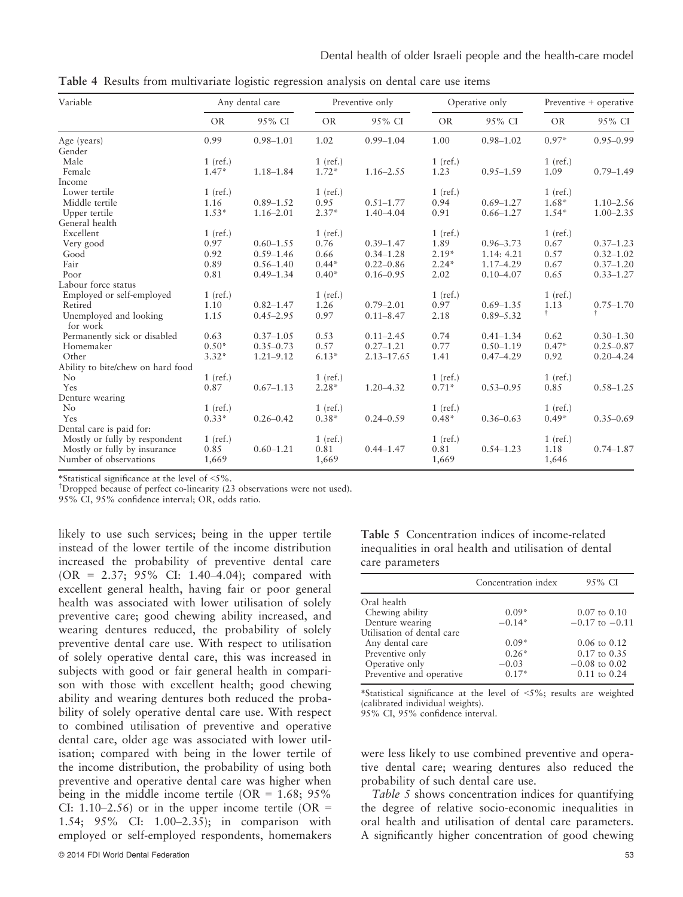Table 4 Results from multivariate logistic regression analysis on dental care use items

| Variable                           | Any dental care |               | Preventive only |                |            | Operative only |            | Preventive + operative |  |
|------------------------------------|-----------------|---------------|-----------------|----------------|------------|----------------|------------|------------------------|--|
|                                    | <b>OR</b>       | 95% CI        | <b>OR</b>       | 95% CI         | <b>OR</b>  | 95% CI         | <b>OR</b>  | 95% CI                 |  |
| Age (years)                        | 0.99            | $0.98 - 1.01$ | 1.02            | $0.99 - 1.04$  | 1.00       | $0.98 - 1.02$  | $0.97*$    | $0.95 - 0.99$          |  |
| Gender                             |                 |               |                 |                |            |                |            |                        |  |
| Male                               | $1$ (ref.)      |               | $1$ (ref.)      |                | $1$ (ref.) |                | $1$ (ref.) |                        |  |
| Female                             | $1.47*$         | $1.18 - 1.84$ | $1.72*$         | $1.16 - 2.55$  | 1.23       | $0.95 - 1.59$  | 1.09       | $0.79 - 1.49$          |  |
| Income                             |                 |               |                 |                |            |                |            |                        |  |
| Lower tertile                      | $1$ (ref.)      |               | $1$ (ref.)      |                | $1$ (ref.) |                | $1$ (ref.) |                        |  |
| Middle tertile                     | 1.16            | $0.89 - 1.52$ | 0.95            | $0.51 - 1.77$  | 0.94       | $0.69 - 1.27$  | $1.68*$    | $1.10 - 2.56$          |  |
| Upper tertile                      | $1.53*$         | $1.16 - 2.01$ | $2.37*$         | $1.40 - 4.04$  | 0.91       | $0.66 - 1.27$  | $1.54*$    | $1.00 - 2.35$          |  |
| General health                     |                 |               |                 |                |            |                |            |                        |  |
| Excellent                          | $1$ (ref.)      |               | $1$ (ref.)      |                | $1$ (ref.) |                | $1$ (ref.) |                        |  |
| Very good                          | 0.97            | $0.60 - 1.55$ | 0.76            | $0.39 - 1.47$  | 1.89       | $0.96 - 3.73$  | 0.67       | $0.37 - 1.23$          |  |
| Good                               | 0.92            | $0.59 - 1.46$ | 0.66            | $0.34 - 1.28$  | $2.19*$    | 1.14: 4.21     | 0.57       | $0.32 - 1.02$          |  |
| Fair                               | 0.89            | $0.56 - 1.40$ | $0.44*$         | $0.22 - 0.86$  | $2.24*$    | $1.17 - 4.29$  | 0.67       | $0.37 - 1.20$          |  |
| Poor                               | 0.81            | $0.49 - 1.34$ | $0.40*$         | $0.16 - 0.95$  | 2.02       | $0.10 - 4.07$  | 0.65       | $0.33 - 1.27$          |  |
| Labour force status                |                 |               |                 |                |            |                |            |                        |  |
| Employed or self-employed          | $1$ (ref.)      |               | $1$ (ref.)      |                | $1$ (ref.) |                | $1$ (ref.) |                        |  |
| Retired                            | 1.10            | $0.82 - 1.47$ | 1.26            | $0.79 - 2.01$  | 0.97       | $0.69 - 1.35$  | 1.13       | $0.75 - 1.70$          |  |
| Unemployed and looking<br>for work | 1.15            | $0.45 - 2.95$ | 0.97            | $0.11 - 8.47$  | 2.18       | $0.89 - 5.32$  | Ť.         | $\ddagger$             |  |
| Permanently sick or disabled       | 0.63            | $0.37 - 1.05$ | 0.53            | $0.11 - 2.45$  | 0.74       | $0.41 - 1.34$  | 0.62       | $0.30 - 1.30$          |  |
| Homemaker                          | $0.50*$         | $0.35 - 0.73$ | 0.57            | $0.27 - 1.21$  | 0.77       | $0.50 - 1.19$  | $0.47*$    | $0.25 - 0.87$          |  |
| Other                              | $3.32*$         | $1.21 - 9.12$ | $6.13*$         | $2.13 - 17.65$ | 1.41       | $0.47 - 4.29$  | 0.92       | $0.20 - 4.24$          |  |
| Ability to bite/chew on hard food  |                 |               |                 |                |            |                |            |                        |  |
| $\rm No$                           | $1$ (ref.)      |               | $1$ (ref.)      |                | $1$ (ref.) |                | $1$ (ref.) |                        |  |
| Yes                                | 0.87            | $0.67 - 1.13$ | $2.28*$         | $1.20 - 4.32$  | $0.71*$    | $0.53 - 0.95$  | 0.85       | $0.58 - 1.25$          |  |
| Denture wearing                    |                 |               |                 |                |            |                |            |                        |  |
| $\rm No$                           | $1$ (ref.)      |               | $1$ (ref.)      |                | $1$ (ref.) |                | $1$ (ref.) |                        |  |
| Yes                                | $0.33*$         | $0.26 - 0.42$ | $0.38*$         | $0.24 - 0.59$  | $0.48*$    | $0.36 - 0.63$  | $0.49*$    | $0.35 - 0.69$          |  |
| Dental care is paid for:           |                 |               |                 |                |            |                |            |                        |  |
| Mostly or fully by respondent      | $1$ (ref.)      |               | $1$ (ref.)      |                | $1$ (ref.) |                | $1$ (ref.) |                        |  |
| Mostly or fully by insurance       | 0.85            | $0.60 - 1.21$ | 0.81            | $0.44 - 1.47$  | 0.81       | $0.54 - 1.23$  | 1.18       | $0.74 - 1.87$          |  |
| Number of observations             | 1,669           |               | 1,669           |                | 1,669      |                | 1,646      |                        |  |

\*Statistical significance at the level of <5%.

† Dropped because of perfect co-linearity (23 observations were not used).

95% CI, 95% confidence interval; OR, odds ratio.

likely to use such services; being in the upper tertile instead of the lower tertile of the income distribution increased the probability of preventive dental care (OR = 2.37; 95% CI: 1.40–4.04); compared with excellent general health, having fair or poor general health was associated with lower utilisation of solely preventive care; good chewing ability increased, and wearing dentures reduced, the probability of solely preventive dental care use. With respect to utilisation of solely operative dental care, this was increased in subjects with good or fair general health in comparison with those with excellent health; good chewing ability and wearing dentures both reduced the probability of solely operative dental care use. With respect to combined utilisation of preventive and operative dental care, older age was associated with lower utilisation; compared with being in the lower tertile of the income distribution, the probability of using both preventive and operative dental care was higher when being in the middle income tertile  $(OR = 1.68; 95\%)$ CI: 1.10–2.56) or in the upper income tertile (OR  $=$ 1.54; 95% CI: 1.00–2.35); in comparison with employed or self-employed respondents, homemakers

Table 5 Concentration indices of income-related inequalities in oral health and utilisation of dental care parameters

|                            | Concentration index | 95% CI                  |
|----------------------------|---------------------|-------------------------|
| Oral health                |                     |                         |
| Chewing ability            | $0.09*$             | $0.07$ to $0.10$        |
| Denture wearing            | $-0.14*$            | $-0.17$ to $-0.11$      |
| Utilisation of dental care |                     |                         |
| Any dental care            | $0.09*$             | $0.06 \text{ to } 0.12$ |
| Preventive only            | $0.26*$             | $0.17$ to $0.35$        |
| Operative only             | $-0.03$             | $-0.08$ to 0.02         |
| Preventive and operative   | $0.17*$             | $0.11$ to $0.24$        |

\*Statistical significance at the level of <5%; results are weighted (calibrated individual weights).

95% CI, 95% confidence interval.

were less likely to use combined preventive and operative dental care; wearing dentures also reduced the probability of such dental care use.

Table 5 shows concentration indices for quantifying the degree of relative socio-economic inequalities in oral health and utilisation of dental care parameters. A significantly higher concentration of good chewing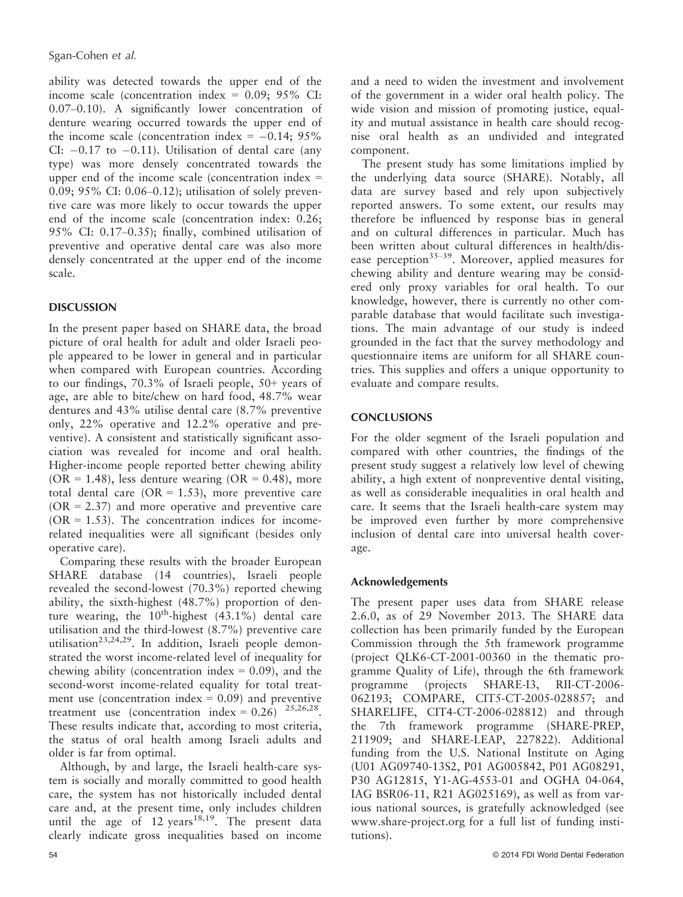ability was detected towards the upper end of the income scale (concentration index =  $0.09$ ;  $95\%$  CI: 0.07–0.10). A significantly lower concentration of denture wearing occurred towards the upper end of the income scale (concentration index  $= -0.14$ ; 95% CI:  $-0.17$  to  $-0.11$ ). Utilisation of dental care (any type) was more densely concentrated towards the upper end of the income scale (concentration index = 0.09; 95% CI: 0.06–0.12); utilisation of solely preventive care was more likely to occur towards the upper end of the income scale (concentration index: 0.26; 95% CI: 0.17–0.35); finally, combined utilisation of preventive and operative dental care was also more densely concentrated at the upper end of the income scale.

# **DISCUSSION**

In the present paper based on SHARE data, the broad picture of oral health for adult and older Israeli people appeared to be lower in general and in particular when compared with European countries. According to our findings, 70.3% of Israeli people, 50+ years of age, are able to bite/chew on hard food, 48.7% wear dentures and 43% utilise dental care (8.7% preventive only, 22% operative and 12.2% operative and preventive). A consistent and statistically significant association was revealed for income and oral health. Higher-income people reported better chewing ability  $(OR = 1.48)$ , less denture wearing  $(OR = 0.48)$ , more total dental care ( $OR = 1.53$ ), more preventive care  $(OR = 2.37)$  and more operative and preventive care  $(OR = 1.53)$ . The concentration indices for incomerelated inequalities were all significant (besides only operative care).

Comparing these results with the broader European SHARE database (14 countries), Israeli people revealed the second-lowest (70.3%) reported chewing ability, the sixth-highest (48.7%) proportion of denture wearing, the  $10^{th}$ -highest  $(43.1\%)$  dental care utilisation and the third-lowest (8.7%) preventive care utilisation<sup>23,24,29</sup>. In addition, Israeli people demonstrated the worst income-related level of inequality for chewing ability (concentration index  $= 0.09$ ), and the second-worst income-related equality for total treatment use (concentration index  $= 0.09$ ) and preventive treatment use (concentration index =  $0.26$ )  $25,26,28$ . These results indicate that, according to most criteria, the status of oral health among Israeli adults and older is far from optimal.

Although, by and large, the Israeli health-care system is socially and morally committed to good health care, the system has not historically included dental care and, at the present time, only includes children until the age of 12 years<sup>18,19</sup>. The present data clearly indicate gross inequalities based on income and a need to widen the investment and involvement of the government in a wider oral health policy. The wide vision and mission of promoting justice, equality and mutual assistance in health care should recognise oral health as an undivided and integrated component.

The present study has some limitations implied by the underlying data source (SHARE). Notably, all data are survey based and rely upon subjectively reported answers. To some extent, our results may therefore be influenced by response bias in general and on cultural differences in particular. Much has been written about cultural differences in health/disease perception<sup>35–39</sup>. Moreover, applied measures for chewing ability and denture wearing may be considered only proxy variables for oral health. To our knowledge, however, there is currently no other comparable database that would facilitate such investigations. The main advantage of our study is indeed grounded in the fact that the survey methodology and questionnaire items are uniform for all SHARE countries. This supplies and offers a unique opportunity to evaluate and compare results.

# **CONCLUSIONS**

For the older segment of the Israeli population and compared with other countries, the findings of the present study suggest a relatively low level of chewing ability, a high extent of nonpreventive dental visiting, as well as considerable inequalities in oral health and care. It seems that the Israeli health-care system may be improved even further by more comprehensive inclusion of dental care into universal health coverage.

## Acknowledgements

The present paper uses data from SHARE release 2.6.0, as of 29 November 2013. The SHARE data collection has been primarily funded by the European Commission through the 5th framework programme (project QLK6-CT-2001-00360 in the thematic programme Quality of Life), through the 6th framework programme (projects SHARE-I3, RII-CT-2006- 062193; COMPARE, CIT5-CT-2005-028857; and SHARELIFE, CIT4-CT-2006-028812) and through the 7th framework programme (SHARE-PREP, 211909; and SHARE-LEAP, 227822). Additional funding from the U.S. National Institute on Aging (U01 AG09740-13S2, P01 AG005842, P01 AG08291, P30 AG12815, Y1-AG-4553-01 and OGHA 04-064, IAG BSR06-11, R21 AG025169), as well as from various national sources, is gratefully acknowledged (see www.share-project.org for a full list of funding institutions).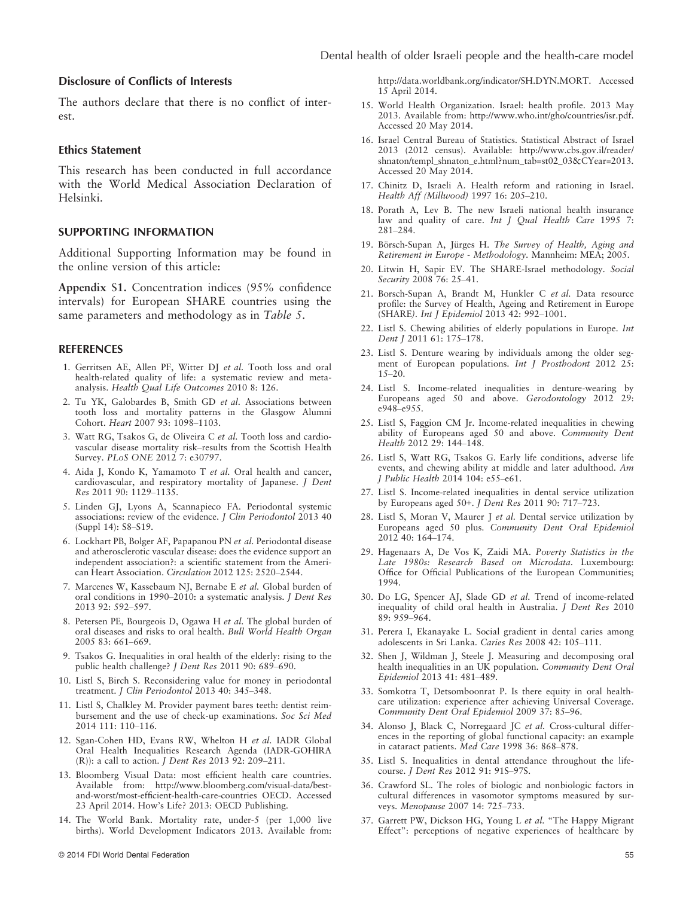#### Disclosure of Conflicts of Interests

The authors declare that there is no conflict of interest.

#### Ethics Statement

This research has been conducted in full accordance with the World Medical Association Declaration of Helsinki.

#### SUPPORTING INFORMATION

Additional Supporting Information may be found in the online version of this article:

Appendix S1. Concentration indices (95% confidence intervals) for European SHARE countries using the same parameters and methodology as in Table 5.

#### **REFERENCES**

- 1. Gerritsen AE, Allen PF, Witter DJ et al. Tooth loss and oral health-related quality of life: a systematic review and metaanalysis. Health Qual Life Outcomes 2010 8: 126.
- 2. Tu YK, Galobardes B, Smith GD et al. Associations between tooth loss and mortality patterns in the Glasgow Alumni Cohort. Heart 2007 93: 1098–1103.
- 3. Watt RG, Tsakos G, de Oliveira C et al. Tooth loss and cardiovascular disease mortality risk–results from the Scottish Health Survey. PLoS ONE 2012 7: e30797.
- 4. Aida J, Kondo K, Yamamoto T et al. Oral health and cancer, cardiovascular, and respiratory mortality of Japanese. J Dent Res 2011 90: 1129–1135.
- 5. Linden GJ, Lyons A, Scannapieco FA. Periodontal systemic associations: review of the evidence. J Clin Periodontol 2013 40 (Suppl 14): S8–S19.
- 6. Lockhart PB, Bolger AF, Papapanou PN et al. Periodontal disease and atherosclerotic vascular disease: does the evidence support an independent association?: a scientific statement from the American Heart Association. Circulation 2012 125: 2520–2544.
- 7. Marcenes W, Kassebaum NJ, Bernabe E et al. Global burden of oral conditions in 1990–2010: a systematic analysis. J Dent Res 2013 92: 592–597.
- 8. Petersen PE, Bourgeois D, Ogawa H et al. The global burden of oral diseases and risks to oral health. Bull World Health Organ 2005 83: 661–669.
- 9. Tsakos G. Inequalities in oral health of the elderly: rising to the public health challenge? J Dent Res 2011 90: 689–690.
- 10. Listl S, Birch S. Reconsidering value for money in periodontal treatment. J Clin Periodontol 2013 40: 345–348.
- 11. Listl S, Chalkley M. Provider payment bares teeth: dentist reimbursement and the use of check-up examinations. Soc Sci Med 2014 111: 110–116.
- 12. Sgan-Cohen HD, Evans RW, Whelton H et al. IADR Global Oral Health Inequalities Research Agenda (IADR-GOHIRA (R)): a call to action. J Dent Res 2013 92: 209–211.
- 13. Bloomberg Visual Data: most efficient health care countries. Available from: http://www.bloomberg.com/visual-data/bestand-worst/most-efficient-health-care-countries OECD. Accessed 23 April 2014. How's Life? 2013: OECD Publishing.
- 14. The World Bank. Mortality rate, under-5 (per 1,000 live births). World Development Indicators 2013. Available from:

http://data.worldbank.org/indicator/SH.DYN.MORT. Accessed 15 April 2014.

- 15. World Health Organization. Israel: health profile. 2013 May 2013. Available from: http://www.who.int/gho/countries/isr.pdf. Accessed 20 May 2014.
- 16. Israel Central Bureau of Statistics. Statistical Abstract of Israel 2013 (2012 census). Available: http://www.cbs.gov.il/reader/ shnaton/templ\_shnaton\_e.html?num\_tab=st02\_03&CYear=2013. Accessed 20 May 2014.
- 17. Chinitz D, Israeli A. Health reform and rationing in Israel. Health Aff (Millwood) 1997 16: 205–210.
- 18. Porath A, Lev B. The new Israeli national health insurance law and quality of care. Int J Qual Health Care 1995 7: 281–284.
- 19. Börsch-Supan A, Jürges H. The Survey of Health, Aging and Retirement in Europe - Methodology. Mannheim: MEA; 2005.
- 20. Litwin H, Sapir EV. The SHARE-Israel methodology. Social Security 2008 76: 25–41.
- 21. Borsch-Supan A, Brandt M, Hunkler C et al. Data resource profile: the Survey of Health, Ageing and Retirement in Europe (SHARE). Int J Epidemiol 2013 42: 992–1001.
- 22. Listl S. Chewing abilities of elderly populations in Europe. Int Dent J 2011 61: 175-178.
- 23. Listl S. Denture wearing by individuals among the older segment of European populations. Int J Prosthodont 2012 25: 15–20.
- 24. Listl S. Income-related inequalities in denture-wearing by Europeans aged 50 and above. Gerodontology 2012 29: e948–e955.
- 25. Listl S, Faggion CM Jr. Income-related inequalities in chewing ability of Europeans aged 50 and above. Community Dent Health 2012 29: 144–148.
- 26. Listl S, Watt RG, Tsakos G. Early life conditions, adverse life events, and chewing ability at middle and later adulthood. Am J Public Health 2014 104: e55–e61.
- 27. Listl S. Income-related inequalities in dental service utilization by Europeans aged 50+. J Dent Res 2011 90: 717–723.
- 28. Listl S, Moran V, Maurer J et al. Dental service utilization by Europeans aged 50 plus. Community Dent Oral Epidemiol 2012 40: 164–174.
- 29. Hagenaars A, De Vos K, Zaidi MA. Poverty Statistics in the Late 1980s: Research Based on Microdata. Luxembourg: Office for Official Publications of the European Communities; 1994.
- 30. Do LG, Spencer AJ, Slade GD et al. Trend of income-related inequality of child oral health in Australia. J Dent Res 2010 89: 959–964.
- 31. Perera I, Ekanayake L. Social gradient in dental caries among adolescents in Sri Lanka. Caries Res 2008 42: 105–111.
- 32. Shen J, Wildman J, Steele J. Measuring and decomposing oral health inequalities in an UK population. Community Dent Oral Epidemiol 2013 41: 481–489.
- 33. Somkotra T, Detsomboonrat P. Is there equity in oral healthcare utilization: experience after achieving Universal Coverage. Community Dent Oral Epidemiol 2009 37: 85–96.
- 34. Alonso J, Black C, Norregaard JC et al. Cross-cultural differences in the reporting of global functional capacity: an example in cataract patients. Med Care 1998 36: 868–878.
- 35. Listl S. Inequalities in dental attendance throughout the lifecourse. *J Dent Res* 2012 91: 91S-97S.
- 36. Crawford SL. The roles of biologic and nonbiologic factors in cultural differences in vasomotor symptoms measured by surveys. Menopause 2007 14: 725–733.
- 37. Garrett PW, Dickson HG, Young L et al. "The Happy Migrant Effect": perceptions of negative experiences of healthcare by